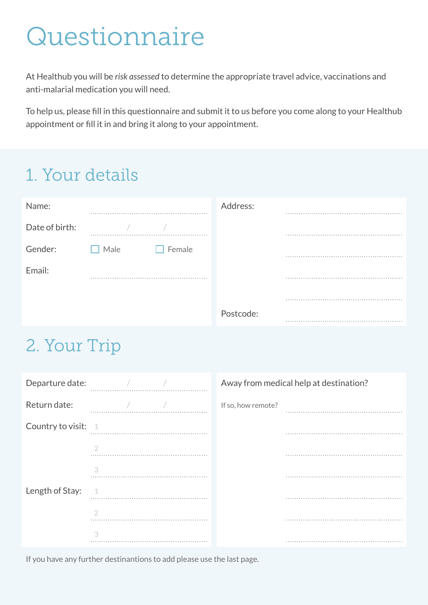# Questionnaire

At Healthub you will be *risk assessed* to determine the appropriate travel advice, vaccinations and anti-malarial medication you will need.

To help us, please fill in this questionnaire and submit it to us before you come along to your Healthub appointment or fill it in and bring it along to your appointment.

#### 1. Your details

| Name:          |                | Address:  |   |
|----------------|----------------|-----------|---|
| Date of birth: |                |           | . |
| Gender:        | Male<br>Female |           |   |
| Email:         | .              |           | . |
|                |                |           |   |
|                |                | Postcode: |   |

#### 2. Your Trip

| Departure date:       |   | Away from medical help at destination? |  |
|-----------------------|---|----------------------------------------|--|
| Return date:          |   | If so, how remote?                     |  |
| Country to visit: $1$ |   |                                        |  |
|                       |   |                                        |  |
|                       | 3 |                                        |  |
| Length of Stay:       |   |                                        |  |
|                       |   |                                        |  |
|                       |   |                                        |  |

If you have any further destinantions to add please use the last page.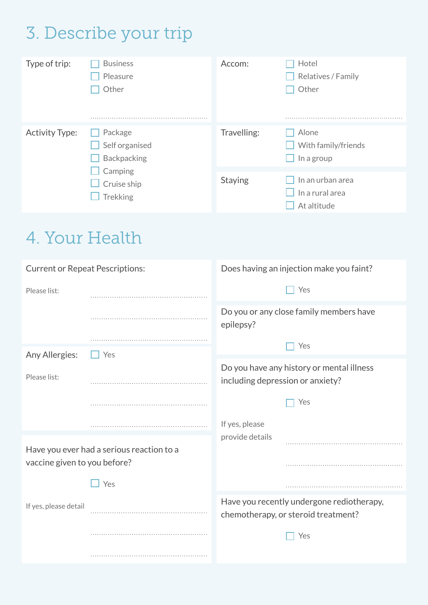## 3. Describe your trip

| Type of trip:         | <b>Business</b><br>Pleasure<br>Other            | Accom:         | Hotel<br>Relatives / Family<br>Other               |
|-----------------------|-------------------------------------------------|----------------|----------------------------------------------------|
|                       |                                                 |                |                                                    |
| <b>Activity Type:</b> | Package<br>Self organised<br><b>Backpacking</b> | Travelling:    | Alone<br>With family/friends<br>In a group         |
|                       | Camping<br>Cruise ship<br>Trekking              | <b>Staying</b> | In an urban area<br>In a rural area<br>At altitude |

### 4. Your Health

| <b>Current or Repeat Pescriptions:</b> |                                           | Does having an injection make you faint?                                         |  |  |
|----------------------------------------|-------------------------------------------|----------------------------------------------------------------------------------|--|--|
| Please list:                           |                                           | Yes                                                                              |  |  |
|                                        |                                           | Do you or any close family members have<br>epilepsy?                             |  |  |
|                                        |                                           | Yes                                                                              |  |  |
| Any Allergies:                         | Yes                                       | Do you have any history or mental illness                                        |  |  |
| Please list:                           |                                           | including depression or anxiety?                                                 |  |  |
|                                        |                                           | Yes                                                                              |  |  |
|                                        |                                           | If yes, please                                                                   |  |  |
|                                        | Have you ever had a serious reaction to a | provide details                                                                  |  |  |
| vaccine given to you before?           |                                           |                                                                                  |  |  |
|                                        | Yes                                       |                                                                                  |  |  |
| If yes, please detail                  |                                           | Have you recently undergone rediotherapy,<br>chemotherapy, or steroid treatment? |  |  |
|                                        |                                           | Yes                                                                              |  |  |
|                                        |                                           |                                                                                  |  |  |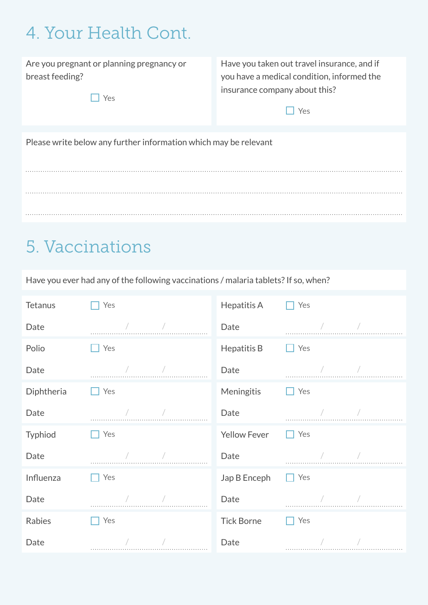#### 4. Your Health Cont.

Are you pregnant or planning pregnancy or breast feeding?

□ Yes

Have you taken out travel insurance, and if you have a medical condition, informed the insurance company about this?

 $\Box$  Yes

Please write below any further information which may be relevant

#### 5. Vaccinations

Have you ever had any of the following vaccinations / malaria tablets? If so, when?

| <b>Tetanus</b> | Yes | Hepatitis A         | Yes |
|----------------|-----|---------------------|-----|
| Date           |     | Date                |     |
| Polio          | Yes | Hepatitis B         | Yes |
| Date           |     | Date                |     |
| Diphtheria     | Yes | Meningitis          | Yes |
| Date           |     | Date                |     |
| Typhiod        | Yes | <b>Yellow Fever</b> | Yes |
| Date           |     | Date                |     |
| Influenza      | Yes | Jap B Enceph        | Yes |
| Date           |     | Date                |     |
| Rabies         | Yes | <b>Tick Borne</b>   | Yes |
| Date           |     | Date                |     |